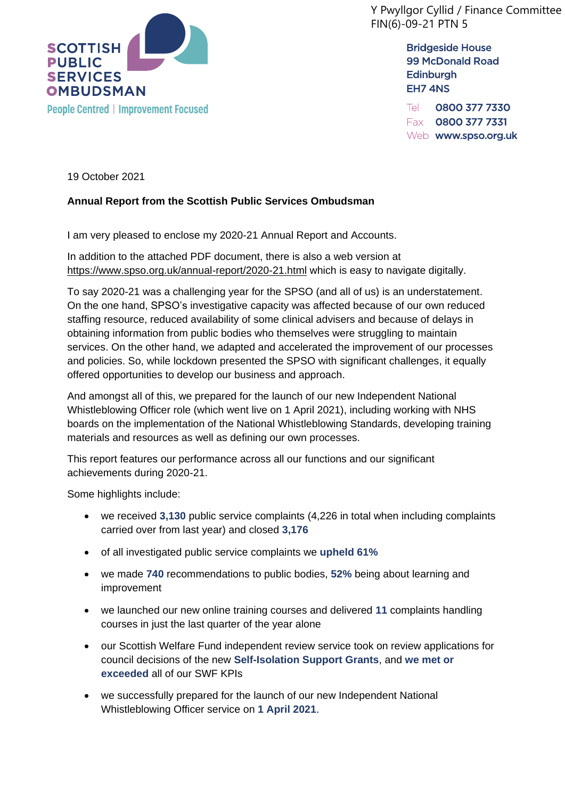

Y Pwyllgor Cyllid / Finance Committee FIN(6)-09-21 PTN 5

> **Bridgeside House 99 McDonald Road Edinburgh** EH7 4NS

Tel 0800 377 7330 Fax 0800 377 7331 Web www.spso.org.uk

19 October 2021

## **Annual Report from the Scottish Public Services Ombudsman**

I am very pleased to enclose my 2020-21 Annual Report and Accounts.

In addition to the attached PDF document, there is also a web version at <https://www.spso.org.uk/annual-report/2020-21.html> which is easy to navigate digitally.

To say 2020-21 was a challenging year for the SPSO (and all of us) is an understatement. On the one hand, SPSO's investigative capacity was affected because of our own reduced staffing resource, reduced availability of some clinical advisers and because of delays in obtaining information from public bodies who themselves were struggling to maintain services. On the other hand, we adapted and accelerated the improvement of our processes and policies. So, while lockdown presented the SPSO with significant challenges, it equally offered opportunities to develop our business and approach.

And amongst all of this, we prepared for the launch of our new Independent National Whistleblowing Officer role (which went live on 1 April 2021), including working with NHS boards on the implementation of the National Whistleblowing Standards, developing training materials and resources as well as defining our own processes.

This report features our performance across all our functions and our significant achievements during 2020-21.

Some highlights include:

- we received **3,130** public service complaints (4,226 in total when including complaints carried over from last year) and closed **3,176**
- of all investigated public service complaints we **upheld 61%**
- we made **740** recommendations to public bodies, **52%** being about learning and improvement
- we launched our new online training courses and delivered **11** complaints handling courses in just the last quarter of the year alone
- our Scottish Welfare Fund independent review service took on review applications for council decisions of the new **Self-Isolation Support Grants**, and **we met or exceeded** all of our SWF KPIs
- we successfully prepared for the launch of our new Independent National Whistleblowing Officer service on **1 April 2021**.